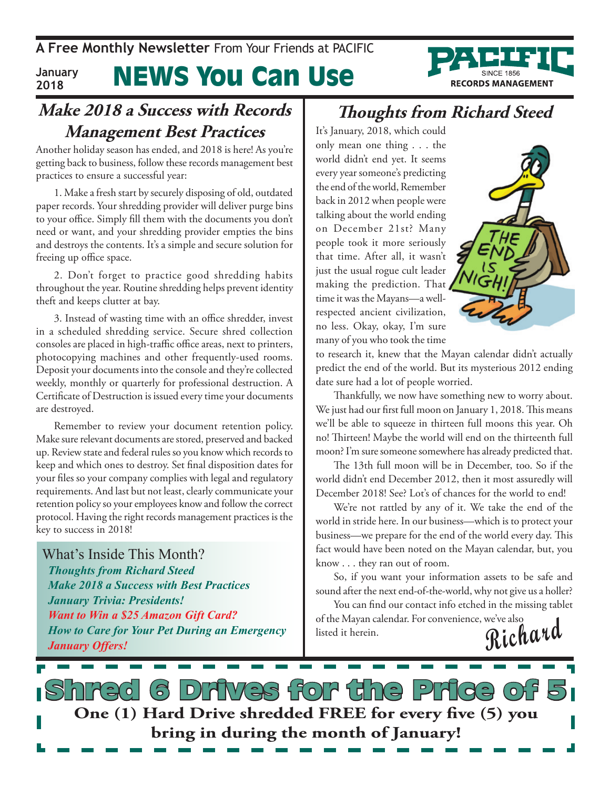**A Free Monthly Newsletter** From Your Friends at PaciFic

#### News You Can Use **January 2018**

#### **Make 2018 a Success with Records Management Best Practices**

Another holiday season has ended, and 2018 is here! As you're getting back to business, follow these records management best practices to ensure a successful year:

1. Make a fresh start by securely disposing of old, outdated paper records. Your shredding provider will deliver purge bins to your office. Simply fill them with the documents you don't need or want, and your shredding provider empties the bins and destroys the contents. It's a simple and secure solution for freeing up office space.

2. Don't forget to practice good shredding habits throughout the year. Routine shredding helps prevent identity theft and keeps clutter at bay.

3. Instead of wasting time with an office shredder, invest in a scheduled shredding service. Secure shred collection consoles are placed in high-traffic office areas, next to printers, photocopying machines and other frequently-used rooms. Deposit your documents into the console and they're collected weekly, monthly or quarterly for professional destruction. A Certificate of Destruction is issued every time your documents are destroyed.

Remember to review your document retention policy. Make sure relevant documents are stored, preserved and backed up. Review state and federal rules so you know which records to keep and which ones to destroy. Set final disposition dates for your files so your company complies with legal and regulatory requirements. And last but not least, clearly communicate your retention policy so your employees know and follow the correct protocol. Having the right records management practices is the key to success in 2018!

What's Inside This Month? *Thoughts from Richard Steed Make 2018 a Success with Best Practices January Trivia: Presidents! Want to Win a \$25 Amazon Gift Card? How to Care for Your Pet During an Emergency January Offers!*

#### **Thoughts from Richard Steed**

It's January, 2018, which could only mean one thing . . . the world didn't end yet. It seems every year someone's predicting the end of the world, Remember back in 2012 when people were talking about the world ending on December 21st? Many people took it more seriously that time. After all, it wasn't just the usual rogue cult leader making the prediction. That time it was the Mayans—a wellrespected ancient civilization, no less. Okay, okay, I'm sure many of you who took the time



**RECORDS MANAGEMENT** 

to research it, knew that the Mayan calendar didn't actually predict the end of the world. But its mysterious 2012 ending date sure had a lot of people worried.

Thankfully, we now have something new to worry about. We just had our first full moon on January 1, 2018. This means we'll be able to squeeze in thirteen full moons this year. Oh no! Thirteen! Maybe the world will end on the thirteenth full moon? I'm sure someone somewhere has already predicted that.

The 13th full moon will be in December, too. So if the world didn't end December 2012, then it most assuredly will December 2018! See? Lot's of chances for the world to end!

We're not rattled by any of it. We take the end of the world in stride here. In our business—which is to protect your business—we prepare for the end of the world every day. This fact would have been noted on the Mayan calendar, but, you know . . . they ran out of room.

So, if you want your information assets to be safe and sound after the next end-of-the-world, why not give us a holler?

**Richard** You can find our contact info etched in the missing tablet of the Mayan calendar. For convenience, we've also listed it herein.

**s** Drives for the Price of **One (1) Hard Drive shredded FREE for every five (5) you bring in during the month of January!**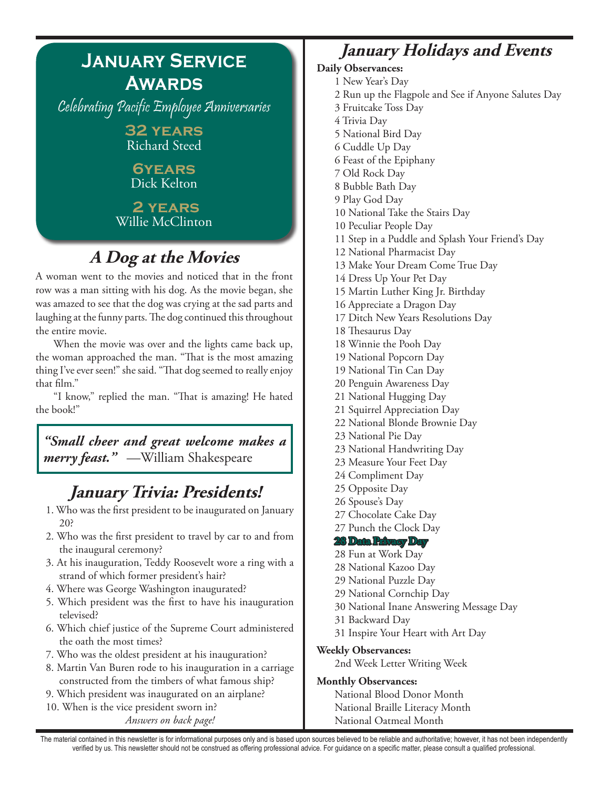

## **A Dog at the Movies**

A woman went to the movies and noticed that in the front row was a man sitting with his dog. As the movie began, she was amazed to see that the dog was crying at the sad parts and laughing at the funny parts. The dog continued this throughout the entire movie.

When the movie was over and the lights came back up, the woman approached the man. "That is the most amazing thing I've ever seen!" she said. "That dog seemed to really enjoy that film."

"I know," replied the man. "That is amazing! He hated the book!"

#### *"Small cheer and great welcome makes a merry feast."* —William Shakespeare

## **January Trivia: Presidents!**

- 1. Who was the first president to be inaugurated on January 20?
- 2. Who was the first president to travel by car to and from the inaugural ceremony?
- 3. At his inauguration, Teddy Roosevelt wore a ring with a strand of which former president's hair?
- 4. Where was George Washington inaugurated?
- 5. Which president was the first to have his inauguration televised?
- 6. Which chief justice of the Supreme Court administered the oath the most times?
- 7. Who was the oldest president at his inauguration?
- 8. Martin Van Buren rode to his inauguration in a carriage constructed from the timbers of what famous ship?
- 9. Which president was inaugurated on an airplane?

10. When is the vice president sworn in? *Answers on back page!*

### **January Holidays and Events**

**Daily Observances:** 1 New Year's Day 2 Run up the Flagpole and See if Anyone Salutes Day 3 Fruitcake Toss Day 4 Trivia Day 5 National Bird Day 6 Cuddle Up Day 6 Feast of the Epiphany 7 Old Rock Day 8 Bubble Bath Day 9 Play God Day 10 National Take the Stairs Day 10 Peculiar People Day 11 Step in a Puddle and Splash Your Friend's Day 12 National Pharmacist Day 13 Make Your Dream Come True Day 14 Dress Up Your Pet Day 15 Martin Luther King Jr. Birthday 16 Appreciate a Dragon Day 17 Ditch New Years Resolutions Day 18 Thesaurus Day 18 Winnie the Pooh Day 19 National Popcorn Day 19 National Tin Can Day 20 Penguin Awareness Day 21 National Hugging Day 21 Squirrel Appreciation Day 22 National Blonde Brownie Day 23 National Pie Day 23 National Handwriting Day 23 Measure Your Feet Day 24 Compliment Day 25 Opposite Day 26 Spouse's Day 27 Chocolate Cake Day 27 Punch the Clock Day **28 Data Privacy Day** 28 Fun at Work Day 28 National Kazoo Day 29 National Puzzle Day 29 National Cornchip Day 30 National Inane Answering Message Day 31 Backward Day 31 Inspire Your Heart with Art Day **Weekly Observances:** 2nd Week Letter Writing Week **Monthly Observances:**

National Blood Donor Month National Braille Literacy Month National Oatmeal Month

The material contained in this newsletter is for informational purposes only and is based upon sources believed to be reliable and authoritative; however, it has not been independently verified by us. This newsletter should not be construed as offering professional advice. For guidance on a specific matter, please consult a qualified professional.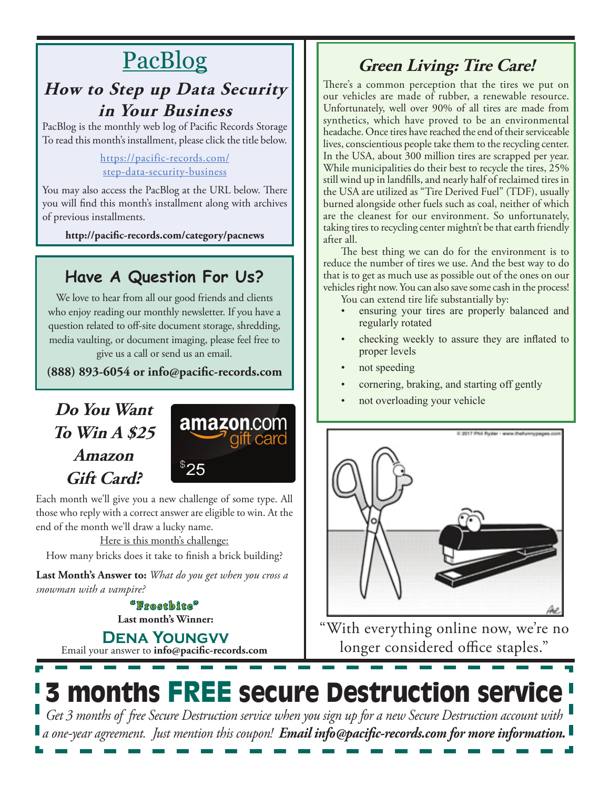# PacBlog

### **How to Step up Data Security in Your Business**

PacBlog is the monthly web log of Pacific Records Storage To read this month's installment, please click the title below.

#### https://pacific-records.com/ step-data-security-business

You may also access the PacBlog at the URL below. There you will find this month's installment along with archives of previous installments.

**http://pacific-records.com/category/pacnews**

## **Have A Question For Us?**

We love to hear from all our good friends and clients who enjoy reading our monthly newsletter. If you have a question related to off-site document storage, shredding, media vaulting, or document imaging, please feel free to give us a call or send us an email.

**(888) 893-6054 or info@pacific-records.com**

## **Do You Want To Win A \$25 Amazon Gift Card?**



Each month we'll give you a new challenge of some type. All those who reply with a correct answer are eligible to win. At the end of the month we'll draw a lucky name.

Here is this month's challenge:

How many bricks does it take to finish a brick building?

**Last Month's Answer to:** *What do you get when you cross a snowman with a vampire?*

> **Last month's Winner:** "Frostbite"

Email your answer to **info@pacific-records.com Dena Youngvv**

## **Green Living: Tire Care!**

There's a common perception that the tires we put on our vehicles are made of rubber, a renewable resource. Unfortunately, well over 90% of all tires are made from synthetics, which have proved to be an environmental headache. Once tires have reached the end of their serviceable lives, conscientious people take them to the recycling center. In the USA, about 300 million tires are scrapped per year. While municipalities do their best to recycle the tires, 25% still wind up in landfills, and nearly half of reclaimed tires in the USA are utilized as "Tire Derived Fuel" (TDF), usually burned alongside other fuels such as coal, neither of which are the cleanest for our environment. So unfortunately, taking tires to recycling center mightn't be that earth friendly after all.

The best thing we can do for the environment is to reduce the number of tires we use. And the best way to do that is to get as much use as possible out of the ones on our vehicles right now. You can also save some cash in the process! You can extend tire life substantially by:

- ensuring your tires are properly balanced and regularly rotated
- checking weekly to assure they are inflated to proper levels
- not speeding
- cornering, braking, and starting off gently
- not overloading your vehicle



"With everything online now, we're no longer considered office staples."